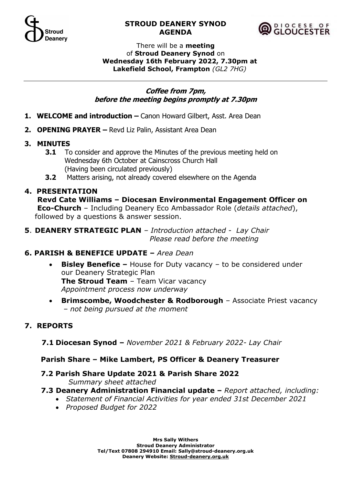

### **STROUD DEANERY SYNOD AGENDA**



#### There will be a **meeting** of **Stroud Deanery Synod** on **Wednesday 16th February 2022, 7.30pm at Lakefield School, Frampton** *(GL2 7HG)*

### **Coffee from 7pm, before the meeting begins promptly at 7.30pm**

- 1. WELCOME and introduction Canon Howard Gilbert, Asst. Area Dean
- **2. OPENING PRAYER –** Revd Liz Palin, Assistant Area Dean
- **3. MINUTES**
	- **3.1** To consider and approve the Minutes of the previous meeting held on Wednesday 6th October at Cainscross Church Hall (Having been circulated previously)
	- **3.2** Matters arising, not already covered elsewhere on the Agenda

## **4. PRESENTATION**

**Revd Cate Williams – Diocesan Environmental Engagement Officer on Eco-Church** – Including Deanery Eco Ambassador Role (*details attached*), followed by a questions & answer session.

**5**. **DEANERY STRATEGIC PLAN** *– Introduction attached - Lay Chair* *Please read before the meeting*

## **6. PARISH & BENEFICE UPDATE –** *Area Dean*

- **Bisley Benefice –** House for Duty vacancy to be considered under our Deanery Strategic Plan **The Stroud Team** – Team Vicar vacancy *Appointment process now underway*
- **Brimscombe, Woodchester & Rodborough** *–* Associate Priest vacancy *– not being pursued at the moment*

# **7. REPORTS**

 **7.1 Diocesan Synod –** *November 2021 & February 2022- Lay Chair*

## **Parish Share – Mike Lambert, PS Officer & Deanery Treasurer**

- **7.2 Parish Share Update 2021 & Parish Share 2022** *Summary sheet attached*
- **7.3 Deanery Administration Financial update –** *Report attached, including:*
	- *Statement of Financial Activities for year ended 31st December 2021*
	- *Proposed Budget for 2022*

**Mrs Sally Withers Stroud Deanery Administrator Tel/Text 07808 294910 Email: Sally@stroud-deanery.org.uk Deanery Website: Stroud-deanery.org.uk**